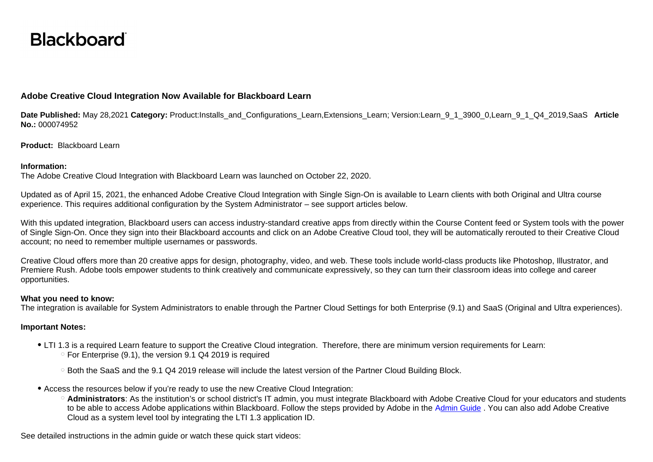# **Blackboard**

# **Adobe Creative Cloud Integration Now Available for Blackboard Learn**

**Date Published:** May 28,2021 **Category:** Product:Installs\_and\_Configurations\_Learn,Extensions\_Learn; Version:Learn\_9\_1\_3900\_0,Learn\_9\_1\_Q4\_2019,SaaS **Article No.:** 000074952

**Product:** Blackboard Learn

#### **Information:**

The Adobe Creative Cloud Integration with Blackboard Learn was launched on October 22, 2020.

Updated as of April 15, 2021, the enhanced Adobe Creative Cloud Integration with Single Sign-On is available to Learn clients with both Original and Ultra course experience. This requires additional configuration by the System Administrator – see support articles below.

With this updated integration, Blackboard users can access industry-standard creative apps from directly within the Course Content feed or System tools with the power of Single Sign-On. Once they sign into their Blackboard accounts and click on an Adobe Creative Cloud tool, they will be automatically rerouted to their Creative Cloud account; no need to remember multiple usernames or passwords.

Creative Cloud offers more than 20 creative apps for design, photography, video, and web. These tools include world-class products like Photoshop, Illustrator, and Premiere Rush. Adobe tools empower students to think creatively and communicate expressively, so they can turn their classroom ideas into college and career opportunities.

### **What you need to know:**

The integration is available for System Administrators to enable through the Partner Cloud Settings for both Enterprise (9.1) and SaaS (Original and Ultra experiences).

## **Important Notes:**

- LTI 1.3 is a required Learn feature to support the Creative Cloud integration. Therefore, there are minimum version requirements for Learn:  $\degree$  For Enterprise (9.1), the version 9.1 Q4 2019 is required
	- Both the SaaS and the 9.1 Q4 2019 release will include the latest version of the Partner Cloud Building Block.
- Access the resources below if you're ready to use the new Creative Cloud Integration:
	- **Administrators**: As the institution's or school district's IT admin, you must integrate Blackboard with Adobe Creative Cloud for your educators and students to be able to access Adobe applications within Blackboard. Follow the steps provided by Adobe in the A[dmin Guide](https://behind.blackboard.com/System-Administrator/Learn/Downloads/download.aspx?d=1652). You can also add Adobe Creative Cloud as a system level tool by integrating the LTI 1.3 application ID.

See detailed instructions in the admin guide or watch these quick start videos: